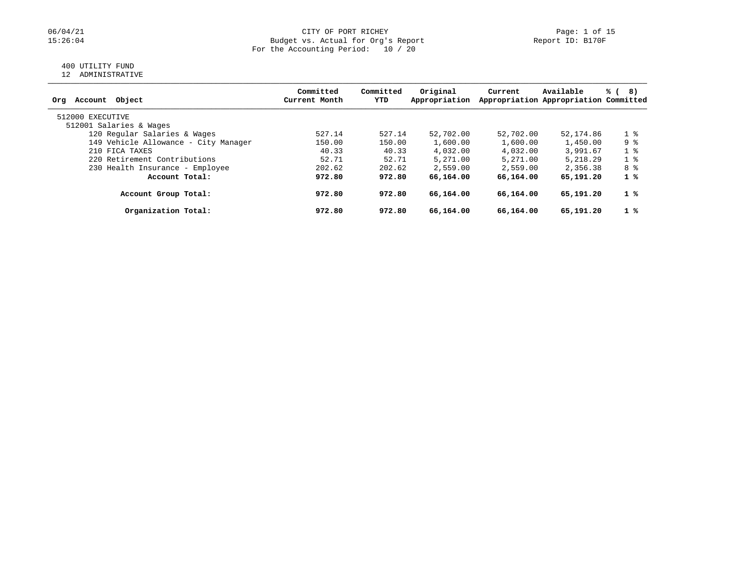### 06/04/21 CITY OF PORT RICHEY Page: 1 of 15<br>15:26:04 Budget vs. Actual for Org's Report Page: 1 of 15 Budget vs. Actual for Org's Report For the Accounting Period: 10 / 20

## 400 UTILITY FUND

12 ADMINISTRATIVE

| Account Object<br>Orq                | Committed<br>Current Month | Committed<br>YTD | Original<br>Appropriation | Current   | Available<br>Appropriation Appropriation Committed | % (<br>8)      |
|--------------------------------------|----------------------------|------------------|---------------------------|-----------|----------------------------------------------------|----------------|
| 512000 EXECUTIVE                     |                            |                  |                           |           |                                                    |                |
| 512001 Salaries & Wages              |                            |                  |                           |           |                                                    |                |
| 120 Regular Salaries & Wages         | 527.14                     | 527.14           | 52,702.00                 | 52,702.00 | 52,174.86                                          | 1 <sup>8</sup> |
| 149 Vehicle Allowance - City Manager | 150.00                     | 150.00           | 1,600.00                  | 1,600.00  | 1,450.00                                           | 9 %            |
| 210 FICA TAXES                       | 40.33                      | 40.33            | 4,032.00                  | 4,032.00  | 3,991.67                                           | $1 \circ$      |
| 220 Retirement Contributions         | 52.71                      | 52.71            | 5,271.00                  | 5,271.00  | 5, 218, 29                                         | $1 \circ$      |
| 230 Health Insurance - Employee      | 202.62                     | 202.62           | 2,559.00                  | 2,559.00  | 2,356.38                                           | 8 %            |
| Account Total:                       | 972.80                     | 972.80           | 66,164,00                 | 66,164.00 | 65,191.20                                          | $1 \degree$    |
| Account Group Total:                 | 972.80                     | 972.80           | 66,164.00                 | 66,164.00 | 65,191.20                                          | $1 \degree$    |
| Organization Total:                  | 972.80                     | 972.80           | 66,164.00                 | 66,164.00 | 65,191.20                                          | $1 \degree$    |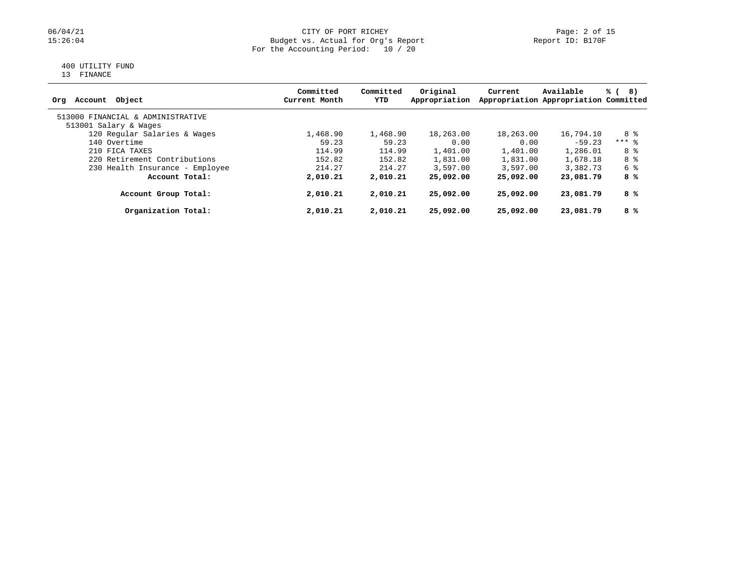### 06/04/21 CITY OF PORT RICHEY Page: 2 of 15<br>15:26:04 Budget vs. Actual for Org's Report Page: 2 Of 15 Budget vs. Actual for Org's Report For the Accounting Period: 10 / 20

# 400 UTILITY FUND

13 FINANCE

| Object<br>Account<br>Orq          | Committed<br>Current Month | Committed<br>YTD | Original<br>Appropriation | Current   | Available<br>Appropriation Appropriation Committed | % (<br>8) |
|-----------------------------------|----------------------------|------------------|---------------------------|-----------|----------------------------------------------------|-----------|
| 513000 FINANCIAL & ADMINISTRATIVE |                            |                  |                           |           |                                                    |           |
| 513001 Salary & Wages             |                            |                  |                           |           |                                                    |           |
| 120 Regular Salaries & Wages      | 1,468.90                   | 1,468.90         | 18,263.00                 | 18,263.00 | 16,794.10                                          | 8 දි      |
| 140 Overtime                      | 59.23                      | 59.23            | 0.00                      | 0.00      | $-59.23$                                           | $***$ 8   |
| 210 FICA TAXES                    | 114.99                     | 114.99           | 1,401.00                  | 1,401.00  | 1,286.01                                           | 8 %       |
| 220 Retirement Contributions      | 152.82                     | 152.82           | 1,831.00                  | 1,831.00  | 1,678.18                                           | 8 %       |
| 230 Health Insurance - Employee   | 214.27                     | 214.27           | 3.597.00                  | 3.597.00  | 3,382.73                                           | 6 %       |
| Account Total:                    | 2,010.21                   | 2,010.21         | 25,092.00                 | 25,092.00 | 23,081.79                                          | 8 %       |
| Account Group Total:              | 2,010.21                   | 2,010.21         | 25,092.00                 | 25,092.00 | 23,081.79                                          | 8 %       |
| Organization Total:               | 2,010.21                   | 2,010.21         | 25,092.00                 | 25,092.00 | 23,081.79                                          | 8 %       |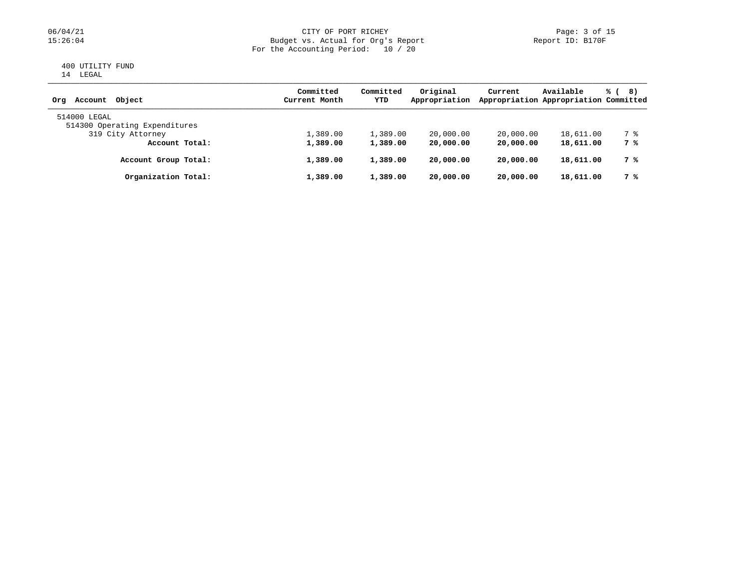### 06/04/21 CITY OF PORT RICHEY Page: 3 of 15<br>15:26:04 Budget vs. Actual for Org's Report Page: 19 Report ID: B170F Budget vs. Actual for Org's Report For the Accounting Period: 10 / 20

#### 400 UTILITY FUND 14 LEGAL

| Account Object<br>Orq         | Committed<br>Current Month | Committed<br>YTD | Original<br>Appropriation | Current   | Available<br>Appropriation Appropriation Committed | % (<br>8) |
|-------------------------------|----------------------------|------------------|---------------------------|-----------|----------------------------------------------------|-----------|
| 514000 LEGAL                  |                            |                  |                           |           |                                                    |           |
| 514300 Operating Expenditures |                            |                  |                           |           |                                                    |           |
| 319 City Attorney             | 1,389.00                   | 1,389.00         | 20,000.00                 | 20,000.00 | 18,611.00                                          | 7 %       |
| Account Total:                | 1,389.00                   | 1,389.00         | 20,000.00                 | 20,000.00 | 18,611.00                                          | 7 %       |
| Account Group Total:          | 1,389.00                   | 1,389.00         | 20,000.00                 | 20,000.00 | 18,611.00                                          | 7 %       |
| Organization Total:           | 1,389.00                   | 1,389.00         | 20,000.00                 | 20,000.00 | 18,611.00                                          | 7 %       |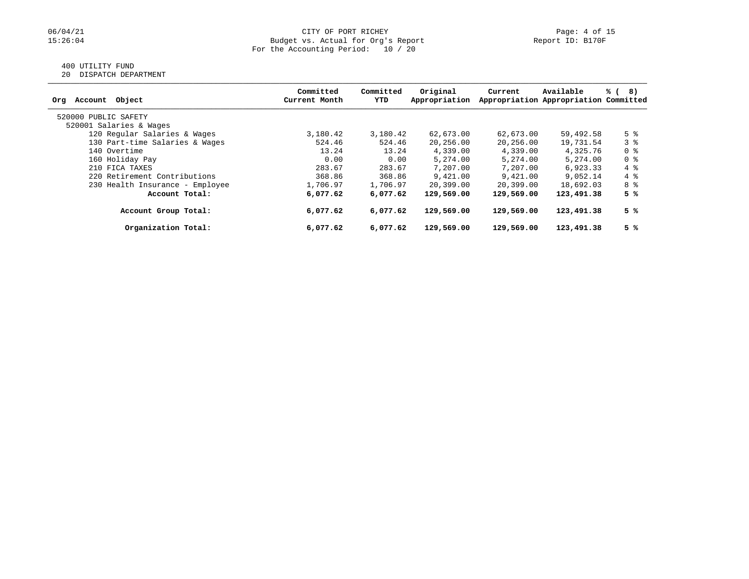## 400 UTILITY FUND

20 DISPATCH DEPARTMENT

| Account Object<br>Org           | Committed<br>Current Month | Committed<br>YTD | Original<br>Appropriation | Current    | Available<br>Appropriation Appropriation Committed | % (<br>8)  |
|---------------------------------|----------------------------|------------------|---------------------------|------------|----------------------------------------------------|------------|
| 520000 PUBLIC SAFETY            |                            |                  |                           |            |                                                    |            |
| 520001 Salaries & Wages         |                            |                  |                           |            |                                                    |            |
| 120 Regular Salaries & Wages    | 3,180.42                   | 3,180.42         | 62,673.00                 | 62,673.00  | 59,492.58                                          | 5 %        |
| 130 Part-time Salaries & Wages  | 524.46                     | 524.46           | 20,256.00                 | 20,256.00  | 19,731.54                                          | 3 %        |
| 140 Overtime                    | 13.24                      | 13.24            | 4,339.00                  | 4,339.00   | 4,325.76                                           | 0 %        |
| 160 Holiday Pay                 | 0.00                       | 0.00             | 5,274.00                  | 5,274.00   | 5,274.00                                           | 0 %        |
| 210 FICA TAXES                  | 283.67                     | 283.67           | 7,207.00                  | 7,207.00   | 6,923.33                                           | $4\degree$ |
| 220 Retirement Contributions    | 368.86                     | 368.86           | 9,421.00                  | 9,421.00   | 9,052.14                                           | $4\degree$ |
| 230 Health Insurance - Employee | 1,706.97                   | 1,706.97         | 20,399.00                 | 20,399.00  | 18,692.03                                          | 8 %        |
| Account Total:                  | 6,077.62                   | 6,077.62         | 129,569.00                | 129,569.00 | 123,491.38                                         | 5 %        |
| Account Group Total:            | 6,077.62                   | 6,077.62         | 129,569.00                | 129,569.00 | 123,491.38                                         | 5 %        |
| Organization Total:             | 6,077.62                   | 6,077.62         | 129,569.00                | 129,569.00 | 123,491.38                                         | 5 %        |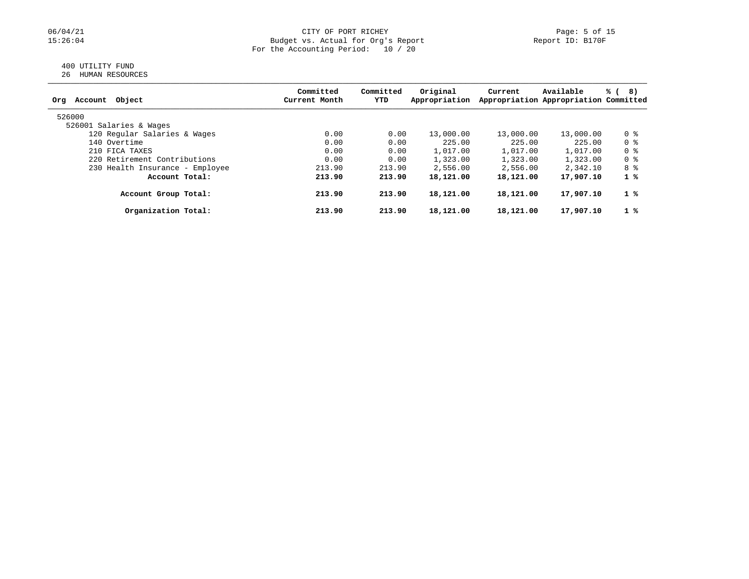#### 06/04/21 CITY OF PORT RICHEY Page: 5 of 15<br>15:26:04 Budget vs. Actual for Org's Report (Report ID: B170F) Page: 5 of 15 Budget vs. Actual for Org's Report For the Accounting Period: 10 / 20

#### 400 UTILITY FUND 26 HUMAN RESOURCES

| z6 | HUMAN RESOURCES |  |
|----|-----------------|--|
|    |                 |  |

| Object<br>Org<br>Account        | Committed<br>Current Month | Committed<br>YTD | Original<br>Appropriation | Current   | Available<br>Appropriation Appropriation Committed | % (<br>8)   |
|---------------------------------|----------------------------|------------------|---------------------------|-----------|----------------------------------------------------|-------------|
| 526000                          |                            |                  |                           |           |                                                    |             |
| 526001 Salaries & Wages         |                            |                  |                           |           |                                                    |             |
| 120 Regular Salaries & Wages    | 0.00                       | 0.00             | 13,000.00                 | 13,000.00 | 13,000.00                                          | 0 %         |
| 140 Overtime                    | 0.00                       | 0.00             | 225.00                    | 225.00    | 225.00                                             | 0 %         |
| 210 FICA TAXES                  | 0.00                       | 0.00             | 1,017.00                  | 1,017.00  | 1,017.00                                           | 0 %         |
| 220 Retirement Contributions    | 0.00                       | 0.00             | 1,323.00                  | 1,323.00  | 1,323.00                                           | 0 %         |
| 230 Health Insurance - Employee | 213.90                     | 213.90           | 2,556.00                  | 2,556.00  | 2,342.10                                           | 8 දි        |
| Account Total:                  | 213.90                     | 213.90           | 18,121.00                 | 18,121.00 | 17,907.10                                          | $1 \degree$ |
| Account Group Total:            | 213.90                     | 213.90           | 18,121.00                 | 18,121.00 | 17,907.10                                          | $1 \degree$ |
| Organization Total:             | 213.90                     | 213.90           | 18,121.00                 | 18,121.00 | 17,907.10                                          | $1 \degree$ |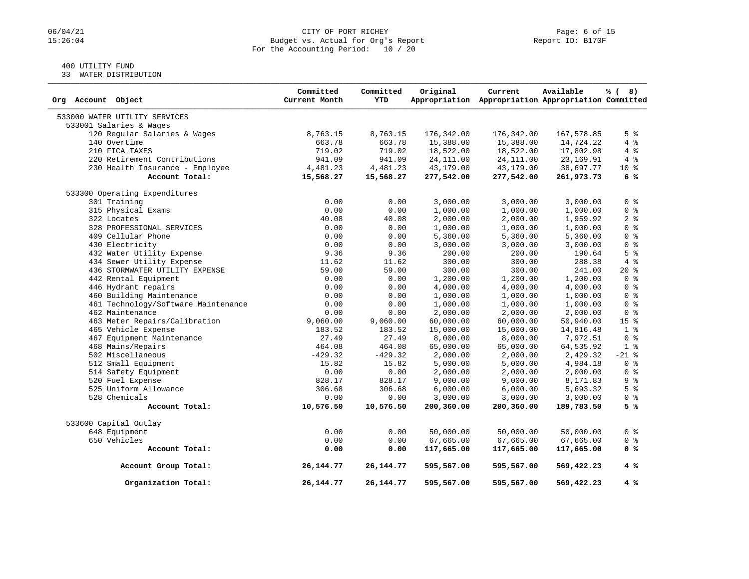### 06/04/21 CITY OF PORT RICHEY Page: 6 of 15<br>15:26:04 Budget vs. Actual for Org's Report Page: 6 Of 15 Budget vs. Actual for Org's Report For the Accounting Period: 10 / 20

### 400 UTILITY FUND

33 WATER DISTRIBUTION

| Org Account Object                  | Committed<br>Current Month | Committed<br><b>YTD</b> | Original   | Current<br>Appropriation Appropriation Appropriation Committed | Available  | % (8)           |
|-------------------------------------|----------------------------|-------------------------|------------|----------------------------------------------------------------|------------|-----------------|
| 533000 WATER UTILITY SERVICES       |                            |                         |            |                                                                |            |                 |
| 533001 Salaries & Wages             |                            |                         |            |                                                                |            |                 |
| 120 Regular Salaries & Wages        | 8,763.15                   | 8,763.15                | 176,342.00 | 176,342.00                                                     | 167,578.85 | 5 <sup>8</sup>  |
| 140 Overtime                        | 663.78                     | 663.78                  | 15,388.00  | 15,388.00                                                      | 14,724.22  | 4%              |
| 210 FICA TAXES                      | 719.02                     | 719.02                  | 18,522.00  | 18,522.00                                                      | 17,802.98  | 4%              |
| 220 Retirement Contributions        | 941.09                     | 941.09                  | 24, 111.00 | 24, 111.00                                                     | 23, 169.91 | $4\degree$      |
| 230 Health Insurance - Employee     | 4,481.23                   | 4,481.23                | 43,179.00  | 43,179.00                                                      | 38,697.77  | $10*$           |
| Account Total:                      | 15,568.27                  | 15,568.27               | 277,542.00 | 277,542.00                                                     | 261,973.73 | 6%              |
| 533300 Operating Expenditures       |                            |                         |            |                                                                |            |                 |
| 301 Training                        | 0.00                       | 0.00                    | 3,000.00   | 3,000.00                                                       | 3,000.00   | 0 <sup>8</sup>  |
| 315 Physical Exams                  | 0.00                       | 0.00                    | 1,000.00   | 1,000.00                                                       | 1,000.00   | 0 <sup>8</sup>  |
| 322 Locates                         | 40.08                      | 40.08                   | 2,000.00   | 2,000.00                                                       | 1,959.92   | 2 <sup>8</sup>  |
| 328 PROFESSIONAL SERVICES           | 0.00                       | 0.00                    | 1,000.00   | 1,000.00                                                       | 1,000.00   | 0 <sup>8</sup>  |
| 409 Cellular Phone                  | 0.00                       | 0.00                    | 5,360.00   | 5,360.00                                                       | 5,360.00   | 0 <sup>8</sup>  |
| 430 Electricity                     | 0.00                       | 0.00                    | 3,000.00   | 3,000.00                                                       | 3,000.00   | 0 <sup>8</sup>  |
| 432 Water Utility Expense           | 9.36                       | 9.36                    | 200.00     | 200.00                                                         | 190.64     | 5 <sup>8</sup>  |
| 434 Sewer Utility Expense           | 11.62                      | 11.62                   | 300.00     | 300.00                                                         | 288.38     | 4%              |
| 436 STORMWATER UTILITY EXPENSE      | 59.00                      | 59.00                   | 300.00     | 300.00                                                         | 241.00     | $20*$           |
| 442 Rental Equipment                | 0.00                       | 0.00                    | 1,200.00   | 1,200.00                                                       | 1,200.00   | 0 <sup>8</sup>  |
| 446 Hydrant repairs                 | 0.00                       | 0.00                    | 4,000.00   | 4,000.00                                                       | 4,000.00   | 0 <sup>8</sup>  |
| 460 Building Maintenance            | 0.00                       | 0.00                    | 1,000.00   | 1,000.00                                                       | 1,000.00   | 0 <sup>8</sup>  |
| 461 Technology/Software Maintenance | 0.00                       | 0.00                    | 1,000.00   | 1,000.00                                                       | 1,000.00   | 0 <sup>8</sup>  |
| 462 Maintenance                     | 0.00                       | 0.00                    | 2,000.00   | 2,000.00                                                       | 2,000.00   | 0 <sup>8</sup>  |
| 463 Meter Repairs/Calibration       | 9,060.00                   | 9,060.00                | 60,000.00  | 60,000.00                                                      | 50,940.00  | 15 <sup>8</sup> |
| 465 Vehicle Expense                 | 183.52                     | 183.52                  | 15,000.00  | 15,000.00                                                      | 14,816.48  | 1 <sup>°</sup>  |
| 467 Equipment Maintenance           | 27.49                      | 27.49                   | 8,000.00   | 8,000.00                                                       | 7,972.51   | 0 <sup>8</sup>  |
| 468 Mains/Repairs                   | 464.08                     | 464.08                  | 65,000.00  | 65,000.00                                                      | 64,535.92  | 1 <sup>8</sup>  |
| 502 Miscellaneous                   | $-429.32$                  | $-429.32$               | 2,000.00   | 2,000.00                                                       | 2,429.32   | $-21$ %         |
| 512 Small Equipment                 | 15.82                      | 15.82                   | 5,000.00   | 5,000.00                                                       | 4,984.18   | 0 <sup>8</sup>  |
| 514 Safety Equipment                | 0.00                       | 0.00                    | 2,000.00   | 2,000.00                                                       | 2,000.00   | 0 <sup>8</sup>  |
| 520 Fuel Expense                    | 828.17                     | 828.17                  | 9,000.00   | 9,000.00                                                       | 8,171.83   | 9 <sub>8</sub>  |
| 525 Uniform Allowance               | 306.68                     | 306.68                  | 6,000.00   | 6,000.00                                                       | 5,693.32   | 5 <sup>°</sup>  |
| 528 Chemicals                       | 0.00                       | 0.00                    | 3,000.00   | 3,000.00                                                       | 3,000.00   | 0 <sup>8</sup>  |
| Account Total:                      | 10,576.50                  | 10,576.50               | 200,360.00 | 200,360.00                                                     | 189,783.50 | 5%              |
| 533600 Capital Outlay               |                            |                         |            |                                                                |            |                 |
| 648 Equipment                       | 0.00                       | 0.00                    | 50,000.00  | 50,000.00                                                      | 50,000.00  | 0 <sup>8</sup>  |
| 650 Vehicles                        | 0.00                       | 0.00                    | 67,665.00  | 67,665.00                                                      | 67,665.00  | $0$ %           |
| Account Total:                      | 0.00                       | 0.00                    | 117,665.00 | 117,665.00                                                     | 117,665.00 | 0 <sup>8</sup>  |
| Account Group Total:                | 26, 144. 77                | 26, 144. 77             | 595,567.00 | 595,567.00                                                     | 569,422.23 | 4 %             |
| Organization Total:                 | 26, 144. 77                | 26, 144. 77             | 595,567.00 | 595,567.00                                                     | 569,422.23 | 4%              |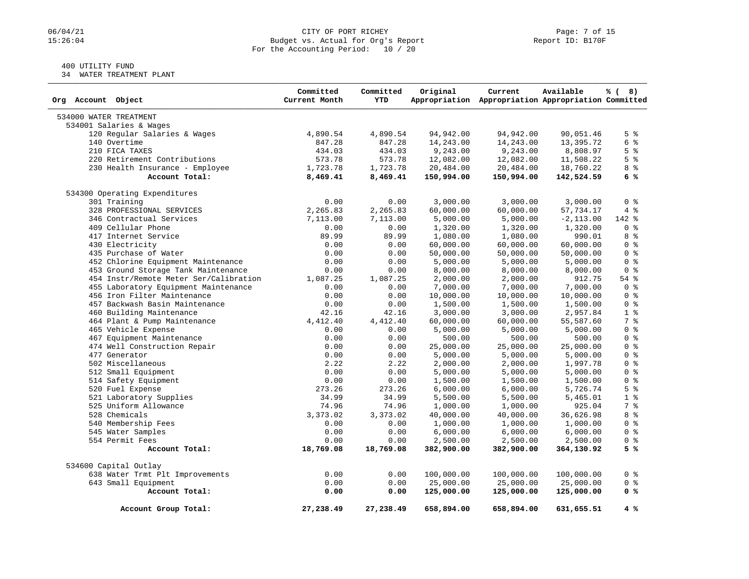### 06/04/21 CITY OF PORT RICHEY Page: 7 of 15<br>15:26:04 Budget vs. Actual for Org's Report Page: 7 Of 15 Budget vs. Actual for Org's Report For the Accounting Period: 10 / 20

### 400 UTILITY FUND

34 WATER TREATMENT PLANT

| Org Account Object                     | Committed<br>Current Month | Committed<br><b>YTD</b> | Original                | Current<br>Appropriation Appropriation Appropriation Committed | Available               | % (8)          |
|----------------------------------------|----------------------------|-------------------------|-------------------------|----------------------------------------------------------------|-------------------------|----------------|
| 534000 WATER TREATMENT                 |                            |                         |                         |                                                                |                         |                |
| 534001 Salaries & Wages                |                            |                         |                         |                                                                |                         |                |
| 120 Regular Salaries & Wages           | 4,890.54                   | 4,890.54                | 94,942.00               | 94,942.00                                                      | 90,051.46               | $5 \times$     |
| 140 Overtime                           | 847.28                     | 847.28                  | 14,243.00               | 14,243.00                                                      | 13,395.72               | 6 %            |
| 210 FICA TAXES                         | 434.03                     | 434.03                  | 9,243.00                | 9,243.00                                                       | 8,808.97                | 5 <sup>8</sup> |
| 220 Retirement Contributions           | 573.78                     | 573.78                  | 12,082.00               | 12,082.00                                                      | 11,508.22               | 5 <sup>8</sup> |
| 230 Health Insurance - Employee        | 1,723.78                   | 1,723.78                | 20,484.00               | 20,484.00                                                      | 18,760.22               | 8 %            |
| Account Total:                         | 8,469.41                   | 8,469.41                | 150,994.00              | 150,994.00                                                     | 142,524.59              | 6%             |
| 534300 Operating Expenditures          |                            |                         |                         |                                                                |                         |                |
| 301 Training                           | 0.00                       | 0.00                    | 3,000.00                | 3,000.00                                                       | 3,000.00                | 0 <sup>8</sup> |
| 328 PROFESSIONAL SERVICES              | 2,265.83                   | 2,265.83                | 60,000.00               | 60,000.00                                                      | 57,734.17               | 4%             |
| 346 Contractual Services               | 7,113.00                   | 7,113.00                | 5,000.00                | 5,000.00                                                       | $-2, 113.00$            | 142 %          |
| 409 Cellular Phone                     | 0.00                       | 0.00                    | 1,320.00                | 1,320.00                                                       | 1,320.00                | 0 <sup>8</sup> |
| 417 Internet Service                   | 89.99                      | 89.99                   | 1,080.00                | 1,080.00                                                       | 990.01                  | 8 %            |
| 430 Electricity                        | 0.00                       | 0.00                    | 60,000.00               | 60,000.00                                                      | 60,000.00               | 0 <sup>8</sup> |
| 435 Purchase of Water                  | 0.00                       | 0.00                    | 50,000.00               | 50,000.00                                                      | 50,000.00               | 0 <sup>8</sup> |
| 452 Chlorine Equipment Maintenance     | 0.00                       | 0.00                    | 5,000.00                | 5,000.00                                                       | 5,000.00                | 0 <sup>8</sup> |
| 453 Ground Storage Tank Maintenance    | 0.00                       | 0.00                    | 8,000.00                | 8,000.00                                                       | 8,000.00                | 0 <sup>8</sup> |
| 454 Instr/Remote Meter Ser/Calibration | 1,087.25                   | 1,087.25                | 2,000.00                | 2,000.00                                                       | 912.75                  | $54$ $%$       |
| 455 Laboratory Equipment Maintenance   | 0.00                       | 0.00                    | 7,000.00                | 7,000.00                                                       | 7,000.00                | 0 <sup>8</sup> |
| 456 Iron Filter Maintenance            | 0.00                       | 0.00                    | 10,000.00               | 10,000.00                                                      | 10,000.00               | 0 <sup>8</sup> |
| 457 Backwash Basin Maintenance         | 0.00                       | 0.00                    | 1,500.00                | 1,500.00                                                       | 1,500.00                | 0 <sup>8</sup> |
| 460 Building Maintenance               | 42.16                      | 42.16                   | 3,000.00                | 3,000.00                                                       | 2,957.84                | 1 <sup>°</sup> |
| 464 Plant & Pump Maintenance           | 4,412.40                   | 4,412.40                | 60,000.00               | 60,000.00                                                      | 55,587.60               | 7 %            |
| 465 Vehicle Expense                    | 0.00                       | 0.00                    | 5,000.00                | 5,000.00                                                       | 5,000.00                | 0 <sup>8</sup> |
| 467 Equipment Maintenance              | 0.00                       | 0.00                    | 500.00                  | 500.00                                                         | 500.00                  | 0 <sup>8</sup> |
| 474 Well Construction Repair           | 0.00                       | 0.00                    | 25,000.00               | 25,000.00                                                      | 25,000.00               | 0 <sup>8</sup> |
| 477 Generator                          | 0.00                       | 0.00                    | 5,000.00                | 5,000.00                                                       | 5,000.00                | 0 <sup>8</sup> |
| 502 Miscellaneous                      | 2.22                       | 2.22                    | 2,000.00                | 2,000.00                                                       | 1,997.78                | 0 <sup>8</sup> |
| 512 Small Equipment                    | 0.00                       | 0.00                    | 5,000.00                | 5,000.00                                                       | 5,000.00                | 0 <sup>8</sup> |
| 514 Safety Equipment                   | 0.00                       | 0.00                    | 1,500.00                | 1,500.00                                                       | 1,500.00                | 0 <sup>8</sup> |
| 520 Fuel Expense                       | 273.26                     | 273.26                  | 6,000.00                | 6,000.00                                                       | 5,726.74                | 5 <sup>8</sup> |
| 521 Laboratory Supplies                | 34.99                      | 34.99                   | 5,500.00                | 5,500.00                                                       | 5,465.01                | 1 <sup>8</sup> |
| 525 Uniform Allowance                  | 74.96                      | 74.96                   | 1,000.00                | 1,000.00                                                       | 925.04                  | 7 %            |
| 528 Chemicals                          | 3,373.02                   | 3,373.02                | 40,000.00               | 40,000.00                                                      | 36,626.98               | 8 %            |
| 540 Membership Fees                    | 0.00                       | 0.00                    | 1,000.00                | 1,000.00                                                       | 1,000.00                | 0 <sup>8</sup> |
| 545 Water Samples                      | 0.00                       | 0.00                    | 6,000.00                | 6,000.00                                                       | 6,000.00                | 0 <sup>8</sup> |
| 554 Permit Fees                        | 0.00                       | 0.00                    | 2,500.00                | 2,500.00                                                       | 2,500.00                | 0 <sup>8</sup> |
| Account Total:                         | 18,769.08                  | 18,769.08               | 382,900.00              | 382,900.00                                                     | 364,130.92              | 5%             |
| 534600 Capital Outlay                  |                            |                         |                         |                                                                |                         |                |
| 638 Water Trmt Plt Improvements        | 0.00                       | 0.00                    | 100,000.00              | 100,000.00                                                     | 100,000.00              | 0 <sup>8</sup> |
| 643 Small Equipment                    | 0.00                       | 0.00                    |                         |                                                                |                         | 0 <sup>8</sup> |
| Account Total:                         | 0.00                       | 0.00                    | 25,000.00<br>125,000.00 | 25,000.00<br>125,000.00                                        | 25,000.00<br>125,000.00 | 0 %            |
| Account Group Total:                   | 27,238.49                  | 27,238.49               | 658,894.00              | 658,894.00                                                     | 631,655.51              | 4 %            |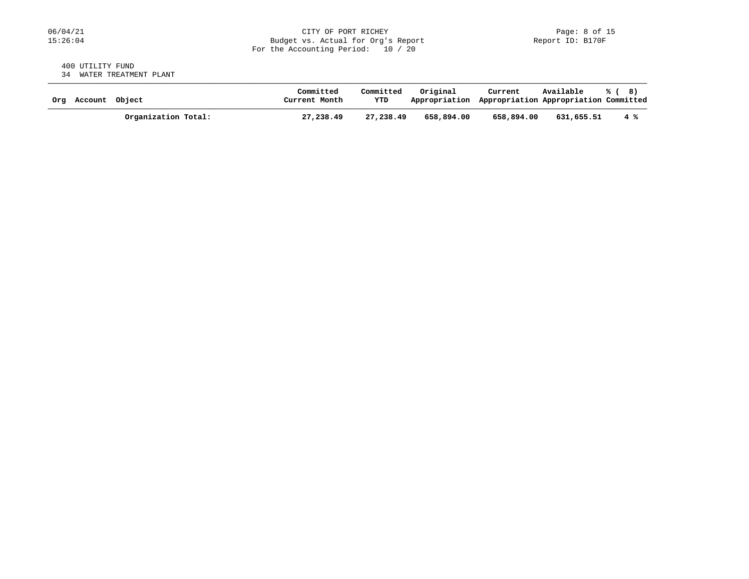#### 400 UTILITY FUND 34 WATER TREATMENT PLANT

| Ora | Account Object |                     | Committed<br>Current Month | Committed<br>YTD | Original<br>Appropriation Appropriation Appropriation Committed | Current    | Available  | % (8) |
|-----|----------------|---------------------|----------------------------|------------------|-----------------------------------------------------------------|------------|------------|-------|
|     |                | Organization Total: | 27,238.49                  | 27,238.49        | 658,894.00                                                      | 658,894.00 | 631,655.51 | 4 %   |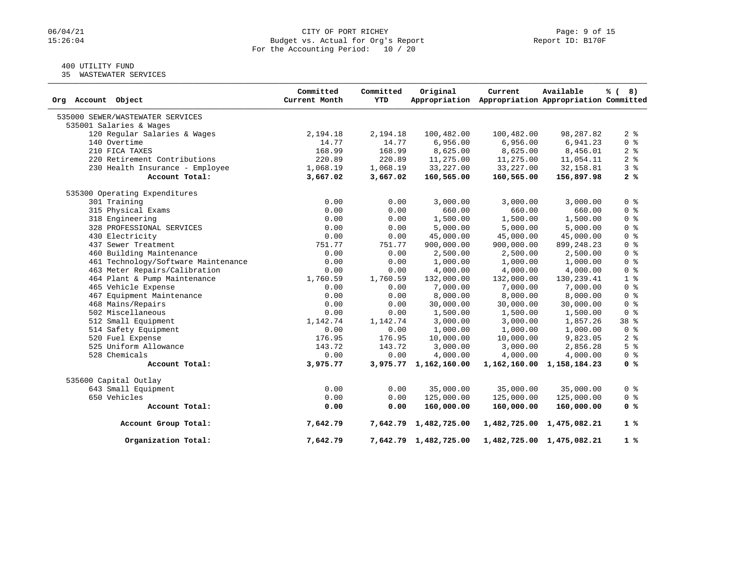### 06/04/21 CITY OF PORT RICHEY Page: 9 of 15<br>15:26:04 Budget vs. Actual for Org's Report Page: 9 Of 15 Budget vs. Actual for Org's Report For the Accounting Period: 10 / 20

## 400 UTILITY FUND

35 WASTEWATER SERVICES

| Org Account Object                  | Committed<br>Current Month | Committed<br>YTD | Original              | Current<br>Appropriation Appropriation Appropriation Committed | Available                 | % (8)          |
|-------------------------------------|----------------------------|------------------|-----------------------|----------------------------------------------------------------|---------------------------|----------------|
| 535000 SEWER/WASTEWATER SERVICES    |                            |                  |                       |                                                                |                           |                |
| 535001 Salaries & Wages             |                            |                  |                       |                                                                |                           |                |
| 120 Regular Salaries & Wages        | 2,194.18                   | 2,194.18         | 100,482.00            | 100,482.00                                                     | 98,287.82                 | 2 <sub>8</sub> |
| 140 Overtime                        | 14.77                      | 14.77            | 6,956.00              | 6,956.00                                                       | 6,941.23                  | 0 <sup>8</sup> |
| 210 FICA TAXES                      | 168.99                     | 168.99           | 8,625.00              | 8,625.00                                                       | 8,456.01                  | 2 <sup>°</sup> |
| 220 Retirement Contributions        | 220.89                     | 220.89           | 11,275.00             | 11,275.00                                                      | 11,054.11                 | 2 <sup>°</sup> |
| 230 Health Insurance - Employee     | 1,068.19                   | 1,068.19         | 33, 227.00            | 33, 227.00                                                     | 32, 158.81                | 3%             |
| Account Total:                      | 3,667.02                   | 3,667.02         | 160,565.00            | 160,565.00                                                     | 156,897.98                | 2%             |
| 535300 Operating Expenditures       |                            |                  |                       |                                                                |                           |                |
| 301 Training                        | 0.00                       | 0.00             | 3,000.00              | 3,000.00                                                       | 3,000.00                  | 0 <sup>8</sup> |
| 315 Physical Exams                  | 0.00                       | 0.00             | 660.00                | 660.00                                                         | 660.00                    | 0 <sup>8</sup> |
| 318 Engineering                     | 0.00                       | 0.00             | 1,500.00              | 1,500.00                                                       | 1,500.00                  | 0 <sup>8</sup> |
| 328 PROFESSIONAL SERVICES           | 0.00                       | 0.00             | 5,000.00              | 5,000.00                                                       | 5,000.00                  | 0 <sup>8</sup> |
| 430 Electricity                     | 0.00                       | 0.00             | 45,000.00             | 45,000.00                                                      | 45,000.00                 | 0 <sup>8</sup> |
| 437 Sewer Treatment                 | 751.77                     | 751.77           | 900,000.00            | 900,000.00                                                     | 899, 248.23               | 0 <sup>8</sup> |
| 460 Building Maintenance            | 0.00                       | 0.00             | 2,500.00              | 2,500.00                                                       | 2,500.00                  | 0 <sup>8</sup> |
| 461 Technology/Software Maintenance | 0.00                       | 0.00             | 1,000.00              | 1,000.00                                                       | 1,000.00                  | 0 <sup>8</sup> |
| 463 Meter Repairs/Calibration       | 0.00                       | 0.00             | 4,000.00              | 4,000.00                                                       | 4,000.00                  | 0 <sup>8</sup> |
| 464 Plant & Pump Maintenance        | 1,760.59                   | 1,760.59         | 132,000.00            | 132,000.00                                                     | 130,239.41                | 1 <sup>8</sup> |
| 465 Vehicle Expense                 | 0.00                       | 0.00             | 7,000.00              | 7,000.00                                                       | 7,000.00                  | 0 <sup>8</sup> |
| 467 Equipment Maintenance           | 0.00                       | 0.00             | 8,000.00              | 8,000.00                                                       | 8,000.00                  | 0 <sup>8</sup> |
| 468 Mains/Repairs                   | 0.00                       | 0.00             | 30,000.00             | 30,000.00                                                      | 30,000.00                 | 0 <sup>8</sup> |
| 502 Miscellaneous                   | 0.00                       | 0.00             | 1,500.00              | 1,500.00                                                       | 1,500.00                  | 0 <sup>8</sup> |
| 512 Small Equipment                 | 1,142.74                   | 1,142.74         | 3,000.00              | 3,000.00                                                       | 1,857.26                  | 38 %           |
| 514 Safety Equipment                | 0.00                       | 0.00             | 1,000.00              | 1,000.00                                                       | 1,000.00                  | 0 <sup>8</sup> |
| 520 Fuel Expense                    | 176.95                     | 176.95           | 10,000.00             | 10,000.00                                                      | 9,823.05                  | 2 <sup>8</sup> |
| 525 Uniform Allowance               | 143.72                     | 143.72           | 3,000.00              | 3,000.00                                                       | 2,856.28                  | 5 <sup>8</sup> |
| 528 Chemicals                       | 0.00                       | 0.00             | 4,000.00              | 4,000.00                                                       | 4,000.00                  | 0 <sup>8</sup> |
| Account Total:                      | 3,975.77                   |                  | 3,975.77 1,162,160.00 |                                                                | 1,162,160.00 1,158,184.23 | 0 <sup>8</sup> |
| 535600 Capital Outlay               |                            |                  |                       |                                                                |                           |                |
| 643 Small Equipment                 | 0.00                       | 0.00             | 35,000.00             | 35,000.00                                                      | 35,000.00                 | 0 %            |
| 650 Vehicles                        | 0.00                       | 0.00             | 125,000.00            | 125,000.00                                                     | 125,000.00                | 0 %            |
| Account Total:                      | 0.00                       | 0.00             | 160,000.00            | 160,000.00                                                     | 160,000.00                | 0 <sup>8</sup> |
| Account Group Total:                | 7,642.79                   |                  | 7,642.79 1,482,725.00 |                                                                | 1,482,725.00 1,475,082.21 | $1 \degree$    |
| Organization Total:                 | 7,642.79                   |                  | 7,642.79 1,482,725.00 |                                                                | 1,482,725.00 1,475,082.21 | 1%             |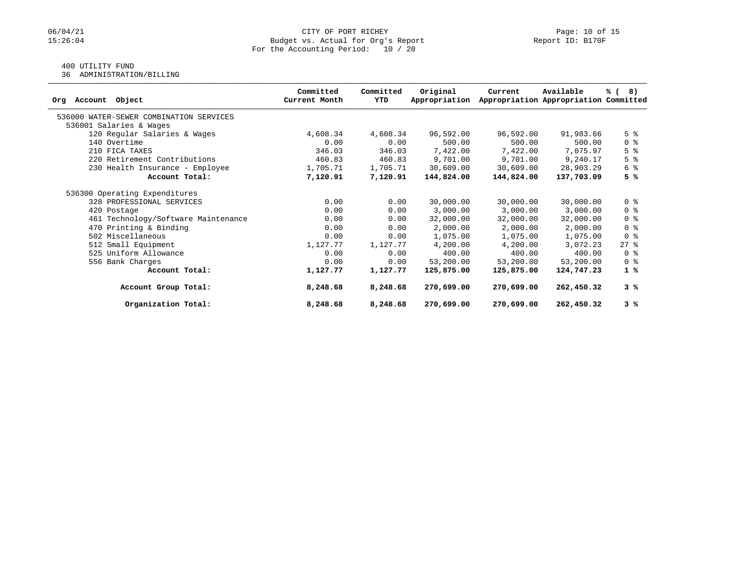## 400 UTILITY FUND

36 ADMINISTRATION/BILLING

| Object<br>Account<br>Orq                | Committed<br>Current Month | Committed<br>YTD | Original<br>Appropriation | Current    | Available<br>Appropriation Appropriation Committed | % (8)                              |
|-----------------------------------------|----------------------------|------------------|---------------------------|------------|----------------------------------------------------|------------------------------------|
| 536000 WATER-SEWER COMBINATION SERVICES |                            |                  |                           |            |                                                    |                                    |
| 536001 Salaries & Wages                 |                            |                  |                           |            |                                                    |                                    |
| 120 Regular Salaries & Wages            | 4,608.34                   | 4,608.34         | 96,592.00                 | 96,592.00  | 91,983.66                                          | 5 <sup>8</sup>                     |
| 140 Overtime                            | 0.00                       | 0.00             | 500.00                    | 500.00     | 500.00                                             | 0 <sup>8</sup>                     |
| 210 FICA TAXES                          | 346.03                     | 346.03           | 7,422.00                  | 7,422.00   | 7,075.97                                           | 5 <sup>8</sup>                     |
| 220 Retirement Contributions            | 460.83                     | 460.83           | 9,701.00                  | 9,701.00   | 9,240.17                                           | 5 <sup>8</sup>                     |
| 230 Health Insurance - Employee         | 1,705.71                   | 1,705.71         | 30,609.00                 | 30,609.00  | 28,903.29                                          | 6 %                                |
| Account Total:                          | 7,120.91                   | 7,120.91         | 144,824.00                | 144,824.00 | 137,703.09                                         | 5 %                                |
| 536300 Operating Expenditures           |                            |                  |                           |            |                                                    |                                    |
| 328 PROFESSIONAL SERVICES               | 0.00                       | 0.00             | 30,000.00                 | 30,000.00  | 30,000.00                                          | 0 <sup>8</sup>                     |
| 420 Postage                             | 0.00                       | 0.00             | 3,000.00                  | 3,000.00   | 3,000.00                                           | $0 \text{ }$ $\text{ }$ $\text{ }$ |
| 461 Technology/Software Maintenance     | 0.00                       | 0.00             | 32,000.00                 | 32,000.00  | 32,000.00                                          | 0 <sup>8</sup>                     |
| 470 Printing & Binding                  | 0.00                       | 0.00             | 2,000.00                  | 2,000.00   | 2,000.00                                           | 0 <sup>8</sup>                     |
| 502 Miscellaneous                       | 0.00                       | 0.00             | 1,075.00                  | 1,075.00   | 1,075.00                                           | 0 <sup>8</sup>                     |
| 512 Small Equipment                     | 1,127.77                   | 1,127.77         | 4,200.00                  | 4,200.00   | 3,072.23                                           | $27$ %                             |
| 525 Uniform Allowance                   | 0.00                       | 0.00             | 400.00                    | 400.00     | 400.00                                             | $0 \text{ }$ $\text{ }$            |
| 556 Bank Charges                        | 0.00                       | 0.00             | 53,200.00                 | 53,200.00  | 53,200.00                                          | 0 <sup>8</sup>                     |
| Account Total:                          | 1,127.77                   | 1,127.77         | 125,875.00                | 125,875.00 | 124,747.23                                         | 1%                                 |
| Account Group Total:                    | 8,248.68                   | 8,248.68         | 270,699.00                | 270,699.00 | 262,450.32                                         | 3%                                 |
| Organization Total:                     | 8,248.68                   | 8,248.68         | 270,699.00                | 270,699.00 | 262,450.32                                         | 3%                                 |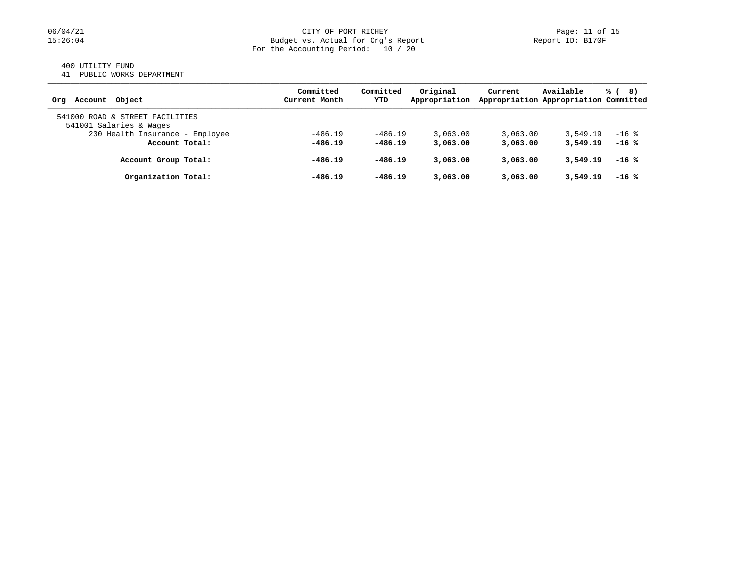#### 400 UTILITY FUND

41 PUBLIC WORKS DEPARTMENT

| Account Object<br>Ora                                      | Committed<br>Current Month | Committed<br>YTD | Original<br>Appropriation | Current  | Available<br>Appropriation Appropriation Committed | % (<br>8) |
|------------------------------------------------------------|----------------------------|------------------|---------------------------|----------|----------------------------------------------------|-----------|
| 541000 ROAD & STREET FACILITIES<br>541001 Salaries & Wages |                            |                  |                           |          |                                                    |           |
| 230 Health Insurance - Employee                            | $-486.19$                  | $-486.19$        | 3,063.00                  | 3,063.00 | 3,549.19                                           | $-16$ %   |
| Account Total:                                             | $-486.19$                  | $-486.19$        | 3,063.00                  | 3,063,00 | 3,549.19                                           | $-16$ %   |
| Account Group Total:                                       | $-486.19$                  | $-486.19$        | 3,063,00                  | 3,063.00 | 3,549.19                                           | $-16$ %   |
| Organization Total:                                        | $-486.19$                  | $-486.19$        | 3,063,00                  | 3,063.00 | 3,549.19                                           | $-16$ %   |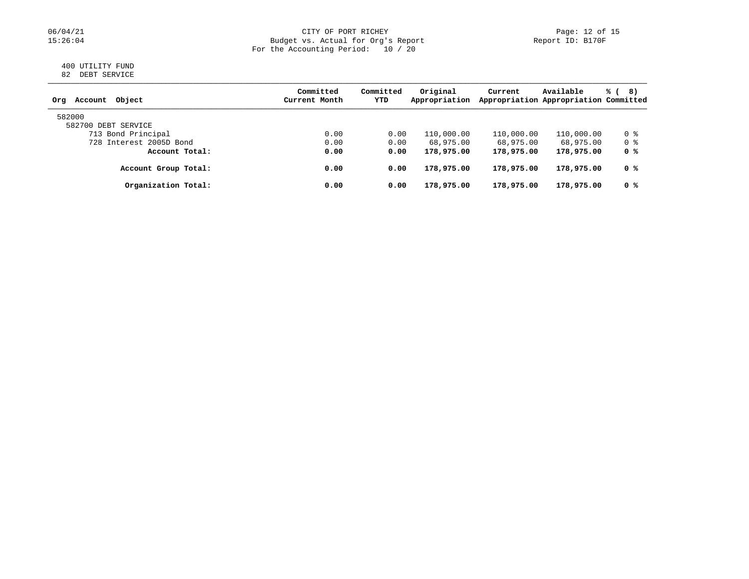#### 06/04/21 CITY OF PORT RICHEY Page: 12 of 15 15:26:04 Budget vs. Actual for Org's Report Report ID: B170F For the Accounting Period: 10 / 20

#### 400 UTILITY FUND 82 DEBT SERVICE

| Object<br>Account<br>Org | Committed<br>Current Month | Committed<br>YTD | Original<br>Appropriation | Current    | Available<br>Appropriation Appropriation Committed | % (<br>8) |
|--------------------------|----------------------------|------------------|---------------------------|------------|----------------------------------------------------|-----------|
| 582000                   |                            |                  |                           |            |                                                    |           |
| 582700 DEBT SERVICE      |                            |                  |                           |            |                                                    |           |
| 713 Bond Principal       | 0.00                       | 0.00             | 110,000.00                | 110,000.00 | 110,000.00                                         | 0 %       |
| 728 Interest 2005D Bond  | 0.00                       | 0.00             | 68,975.00                 | 68,975.00  | 68,975.00                                          | 0 %       |
| Account Total:           | 0.00                       | 0.00             | 178,975.00                | 178,975.00 | 178,975.00                                         | 0 %       |
| Account Group Total:     | 0.00                       | 0.00             | 178,975.00                | 178,975.00 | 178,975.00                                         | 0 %       |
| Organization Total:      | 0.00                       | 0.00             | 178,975.00                | 178,975.00 | 178,975.00                                         | 0 %       |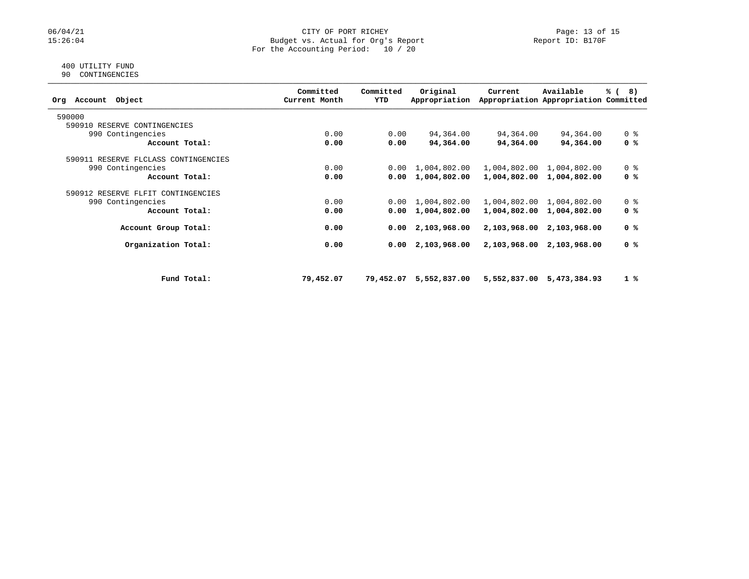### 06/04/21 CITY OF PORT RICHEY Page: 13 of 15<br>15:26:04 Budget vs. Actual for Org's Report Page: 13 Of 15 Budget vs. Actual for Org's Report For the Accounting Period: 10 / 20

#### 400 UTILITY FUND 90 CONTINGENCIES

| Object<br>Account<br>Orq             |             | Committed<br>Current Month | Committed<br>YTD | Original<br>Appropriation | Current      | Available<br>Appropriation Appropriation Committed | % (<br>8)      |
|--------------------------------------|-------------|----------------------------|------------------|---------------------------|--------------|----------------------------------------------------|----------------|
| 590000                               |             |                            |                  |                           |              |                                                    |                |
| 590910 RESERVE CONTINGENCIES         |             |                            |                  |                           |              |                                                    |                |
| 990 Contingencies                    |             | 0.00                       | 0.00             | 94,364.00                 | 94,364.00    | 94,364.00                                          | 0 <sup>8</sup> |
| Account Total:                       |             | 0.00                       | 0.00             | 94,364.00                 | 94,364.00    | 94,364.00                                          | 0 %            |
| 590911 RESERVE FLCLASS CONTINGENCIES |             |                            |                  |                           |              |                                                    |                |
| 990 Contingencies                    |             | 0.00                       | 0.00             | 1,004,802.00              |              | 1,004,802.00 1,004,802.00                          | 0 <sup>8</sup> |
| Account Total:                       |             | 0.00                       | 0.00             | 1,004,802.00              |              | 1,004,802.00 1,004,802.00                          | 0 %            |
| 590912 RESERVE FLFIT CONTINGENCIES   |             |                            |                  |                           |              |                                                    |                |
| 990 Contingencies                    |             | 0.00                       | 0.00             | 1,004,802.00              | 1,004,802.00 | 1,004,802.00                                       | 0 <sup>8</sup> |
| Account Total:                       |             | 0.00                       | 0.00             | 1,004,802.00              | 1,004,802.00 | 1,004,802.00                                       | 0 %            |
| Account Group Total:                 |             | 0.00                       |                  | $0.00 \quad 2,103,968.00$ | 2,103,968.00 | 2,103,968.00                                       | 0 %            |
| Organization Total:                  |             | 0.00                       | 0.00             | 2,103,968.00              | 2,103,968.00 | 2,103,968.00                                       | 0 %            |
|                                      |             |                            |                  |                           |              |                                                    |                |
|                                      | Fund Total: | 79,452.07                  | 79,452.07        | 5,552,837.00              |              | 5,552,837.00 5,473,384.93                          | 1%             |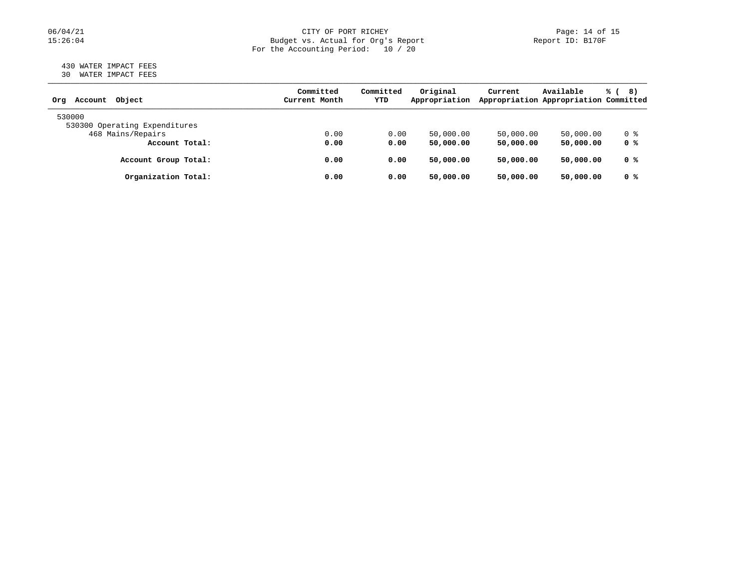### 06/04/21 CITY OF PORT RICHEY Page: 14 of 15<br>15:26:04 Budget vs. Actual for Org's Report Page: 14 Of 15 Budget vs. Actual for Org's Report For the Accounting Period: 10 / 20

#### 430 WATER IMPACT FEES 30 WATER IMPACT FEES

| Object<br>Account<br>Orq      | Committed<br>Current Month | Committed<br>YTD | Original<br>Appropriation | Current   | Available<br>Appropriation Appropriation Committed | % (<br>8) |
|-------------------------------|----------------------------|------------------|---------------------------|-----------|----------------------------------------------------|-----------|
| 530000                        |                            |                  |                           |           |                                                    |           |
| 530300 Operating Expenditures |                            |                  |                           |           |                                                    |           |
| 468 Mains/Repairs             | 0.00                       | 0.00             | 50,000.00                 | 50,000.00 | 50,000.00                                          | 0 %       |
| Account Total:                | 0.00                       | 0.00             | 50,000.00                 | 50,000.00 | 50,000.00                                          | 0 %       |
| Account Group Total:          | 0.00                       | 0.00             | 50,000.00                 | 50,000.00 | 50,000.00                                          | 0 %       |
| Organization Total:           | 0.00                       | 0.00             | 50,000.00                 | 50,000.00 | 50,000.00                                          | 0 %       |